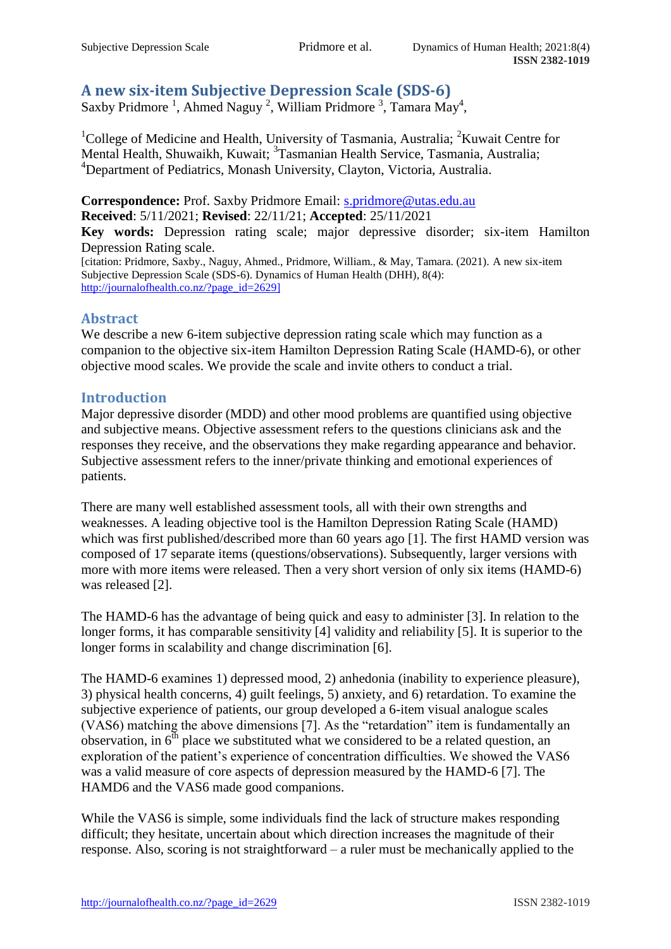# **A new six-item Subjective Depression Scale (SDS-6)**

Saxby Pridmore<sup>1</sup>, Ahmed Naguy<sup>2</sup>, William Pridmore<sup>3</sup>, Tamara May<sup>4</sup>,

<sup>1</sup>College of Medicine and Health, University of Tasmania, Australia; <sup>2</sup>Kuwait Centre for Mental Health, Shuwaikh, Kuwait; <sup>3</sup>Tasmanian Health Service, Tasmania, Australia; <sup>4</sup>Department of Pediatrics, Monash University, Clayton, Victoria, Australia.

**Correspondence:** Prof. Saxby Pridmore Email: [s.pridmore@utas.edu.au](mailto:s.pridmore@utas.edu.au) **Received**: 5/11/2021; **Revised**: 22/11/21; **Accepted**: 25/11/2021

**Key words:** Depression rating scale; major depressive disorder; six-item Hamilton Depression Rating scale.

[citation: Pridmore, Saxby., Naguy, Ahmed., Pridmore, William., & May, Tamara. (2021). A new six-item Subjective Depression Scale (SDS-6). Dynamics of Human Health (DHH), 8(4): [http://journalofhealth.co.nz/?page\\_id=2629\]](http://journalofhealth.co.nz/?page_id=2629)

## **Abstract**

We describe a new 6-item subjective depression rating scale which may function as a companion to the objective six-item Hamilton Depression Rating Scale (HAMD-6), or other objective mood scales. We provide the scale and invite others to conduct a trial.

## **Introduction**

Major depressive disorder (MDD) and other mood problems are quantified using objective and subjective means. Objective assessment refers to the questions clinicians ask and the responses they receive, and the observations they make regarding appearance and behavior. Subjective assessment refers to the inner/private thinking and emotional experiences of patients.

There are many well established assessment tools, all with their own strengths and weaknesses. A leading objective tool is the Hamilton Depression Rating Scale (HAMD) which was first published/described more than 60 years ago [1]. The first HAMD version was composed of 17 separate items (questions/observations). Subsequently, larger versions with more with more items were released. Then a very short version of only six items (HAMD-6) was released [2].

The HAMD-6 has the advantage of being quick and easy to administer [3]. In relation to the longer forms, it has comparable sensitivity [4] validity and reliability [5]. It is superior to the longer forms in scalability and change discrimination [6].

The HAMD-6 examines 1) depressed mood, 2) anhedonia (inability to experience pleasure), 3) physical health concerns, 4) guilt feelings, 5) anxiety, and 6) retardation. To examine the subjective experience of patients, our group developed a 6-item visual analogue scales (VAS6) matching the above dimensions [7]. As the "retardation" item is fundamentally an observation, in  $6<sup>th</sup>$  place we substituted what we considered to be a related question, an exploration of the patient's experience of concentration difficulties. We showed the VAS6 was a valid measure of core aspects of depression measured by the HAMD-6 [7]. The HAMD6 and the VAS6 made good companions.

While the VAS6 is simple, some individuals find the lack of structure makes responding difficult; they hesitate, uncertain about which direction increases the magnitude of their response. Also, scoring is not straightforward – a ruler must be mechanically applied to the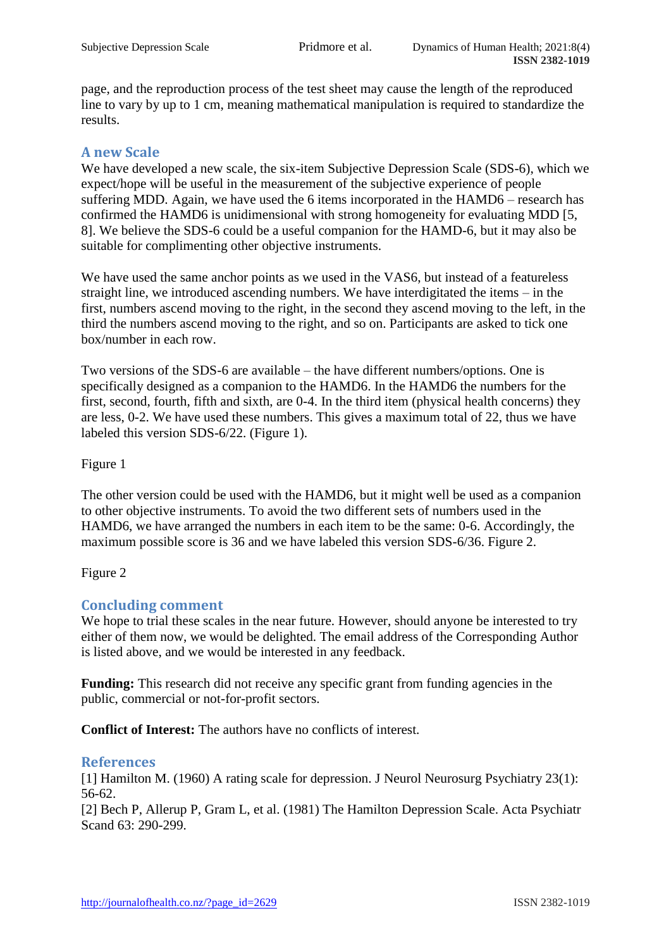page, and the reproduction process of the test sheet may cause the length of the reproduced line to vary by up to 1 cm, meaning mathematical manipulation is required to standardize the results.

# **A new Scale**

We have developed a new scale, the six-item Subjective Depression Scale (SDS-6), which we expect/hope will be useful in the measurement of the subjective experience of people suffering MDD. Again, we have used the 6 items incorporated in the HAMD6 – research has confirmed the HAMD6 is unidimensional with strong homogeneity for evaluating MDD [5, 8]. We believe the SDS-6 could be a useful companion for the HAMD-6, but it may also be suitable for complimenting other objective instruments.

We have used the same anchor points as we used in the VAS6, but instead of a featureless straight line, we introduced ascending numbers. We have interdigitated the items – in the first, numbers ascend moving to the right, in the second they ascend moving to the left, in the third the numbers ascend moving to the right, and so on. Participants are asked to tick one box/number in each row.

Two versions of the SDS-6 are available – the have different numbers/options. One is specifically designed as a companion to the HAMD6. In the HAMD6 the numbers for the first, second, fourth, fifth and sixth, are 0-4. In the third item (physical health concerns) they are less, 0-2. We have used these numbers. This gives a maximum total of 22, thus we have labeled this version SDS-6/22. (Figure 1).

## Figure 1

The other version could be used with the HAMD6, but it might well be used as a companion to other objective instruments. To avoid the two different sets of numbers used in the HAMD6, we have arranged the numbers in each item to be the same: 0-6. Accordingly, the maximum possible score is 36 and we have labeled this version SDS-6/36. Figure 2.

Figure 2

## **Concluding comment**

We hope to trial these scales in the near future. However, should anyone be interested to try either of them now, we would be delighted. The email address of the Corresponding Author is listed above, and we would be interested in any feedback.

**Funding:** This research did not receive any specific grant from funding agencies in the public, commercial or not-for-profit sectors.

**Conflict of Interest:** The authors have no conflicts of interest.

#### **References**

[1] Hamilton M. (1960) A rating scale for depression. J Neurol Neurosurg Psychiatry 23(1): 56-62.

[2] Bech P, Allerup P, Gram L, et al. (1981) The Hamilton Depression Scale. Acta Psychiatr Scand 63: 290-299.